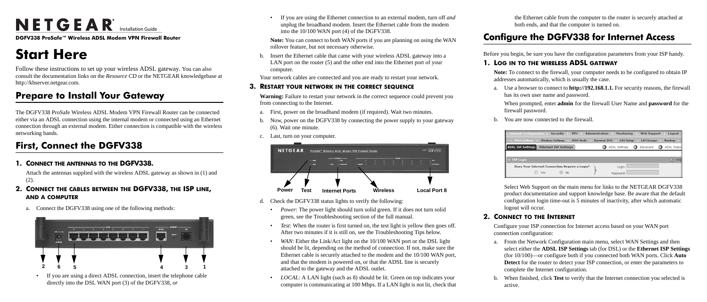# $N$  E T G E A R<sup>\*</sup> Installation Guide

**DGFV338 ProSafe™ Wireless ADSL Modem VPN Firewall Router**

## **Start Here**

Follow these instructions to set up your wireless ADSL gateway. You can also consult the documentation links on the *Resource CD* or the NETGEAR knowledgebase at http://kbserver.netgear.com*.*

### **Prepare to Install Your Gateway**

The DGFV338 ProSafe Wireless ADSL Modem VPN Firewall Router can be connected either via an ADSL connection using the internal modem or connected using an Ethernet connection through an external modem. Either connection is compatible with the wireless networking bands.

### **First, Connect the DGFV338**

#### **1. CONNECT THE ANTENNAS TO THE DGFV338.**

Attach the antennas supplied with the wireless ADSL gateway as shown in (1) and (2).

### **2. CONNECT THE CABLES BETWEEN THE DGFV338, THE ISP LINE, AND A COMPUTER**

a. Connect the DGFV338 using one of the following methods:

• If you are using a direct ADSL connection, insert the telephone cable directly into the DSL WAN port (3) of the DGFV338, *or*



• If you are using the Ethernet connection to an external modem, turn off *and* unplug the broadband modem. Insert the Ethernet cable from the modem into the 10/100 WAN port (4) of the DGFV338.

**Note:** You can connect to both WAN ports if you are planning on using the WAN rollover feature, but not necessary otherwise.

b. Insert the Ethernet cable that came with your wireless ADSL gateway into a LAN port on the router (5) and the other end into the Ethernet port of your computer.

Your network cables are connected and you are ready to restart your network.

#### **3. RESTART YOUR NETWORK IN THE CORRECT SEQUENCE**

**Warning:** Failure to restart your network in the correct sequence could prevent you from connecting to the Internet.

- a. First, power on the broadband modem (if required). Wait two minutes.
- b. Now, power on the DGFV338 by connecting the power supply to your gateway (6). Wait one minute.
- c. Last, turn on your computer.

- d. Check the DGFV338 status lights to verify the following:
	- *Power*: The power light should turn solid green. If it does not turn solid green, see the Troubleshooting section of the full manual.
	- *Test*: When the router is first turned on, the test light is yellow then goes off. After two minutes if it is still on, see the Troubleshooting Tips below.
	- *WAN*: Either the Link/Act light on the 10/100 WAN port or the DSL light should be lit, depending on the method of connection. If not, make sure the Ethernet cable is securely attached to the modem and the 10/100 WAN port, and that the modem is powered on, or that the ADSL line is securely attached to the gateway and the ADSL outlet.
	- *LOCAL*: A LAN light (such as 8) should be lit. Green on top indicates your computer is communicating at 100 Mbps. If a LAN light is not lit, check that



the Ethernet cable from the computer to the router is securely attached at both ends, and that the computer is turned on.

### **Configure the DGFV338 for Internet Access**

Before you begin, be sure you have the configuration parameters from your ISP handy.

#### **1. LOG IN TO THE WIRELESS ADSL GATEWAY**

**Note:** To connect to the firewall, your computer needs to be configured to obtain IP addresses automatically, which is usually the case.



a. Use a browser to connect to **http://192.168.1.1.** For security reasons, the firewall has its own user name and password.

When prompted, enter **admin** for the firewall User Name and **password** for the firewall password.

b. You are now connected to the firewall.

Select Web Support on the main menu for links to the NETGEAR DGFV338 product documentation and support knowledge base. Be aware that the default configuration login time-out is 5 minutes of inactivity, after which automatic logout will occur.

### **2. CONNECT TO THE INTERNET**

Configure your ISP connection for Internet access based on your WAN port connection configuration:

a. From the Network Configuration main menu, select WAN Settings and then select either the **ADSL ISP Settings** tab (for DSL) or the **Ethernet ISP Settings**  (for 10/100)—or configure both if you connected both WAN ports. Click **Auto**  Detect for the router to detect your ISP connection, or enter the parameters to complete the Internet configuration.

b. When finished, click **Test** to verify that the Internet connection you selected is

- 
- active.